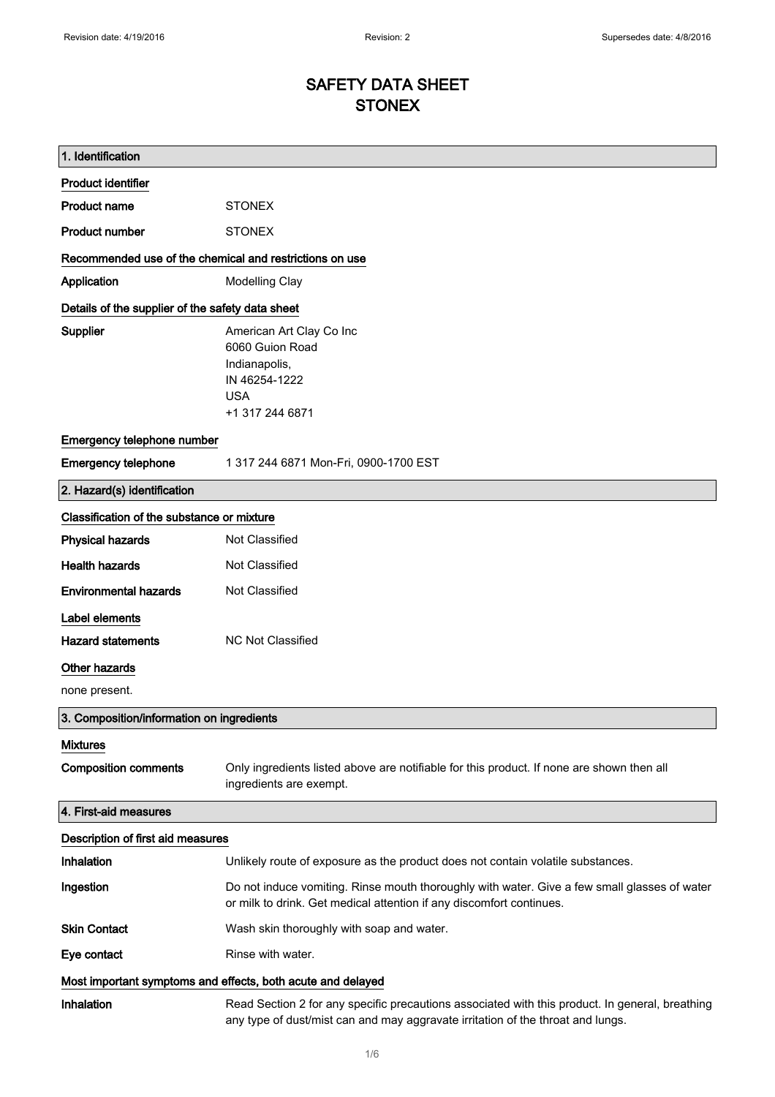# SAFETY DATA SHEET **STONEX**

| 1. Identification                                           |                                                                                                                                                                                    |
|-------------------------------------------------------------|------------------------------------------------------------------------------------------------------------------------------------------------------------------------------------|
| <b>Product identifier</b>                                   |                                                                                                                                                                                    |
| <b>Product name</b>                                         | <b>STONEX</b>                                                                                                                                                                      |
| <b>Product number</b>                                       | <b>STONEX</b>                                                                                                                                                                      |
| Recommended use of the chemical and restrictions on use     |                                                                                                                                                                                    |
| Application                                                 | Modelling Clay                                                                                                                                                                     |
| Details of the supplier of the safety data sheet            |                                                                                                                                                                                    |
| Supplier                                                    | American Art Clay Co Inc<br>6060 Guion Road<br>Indianapolis,<br>IN 46254-1222<br><b>USA</b><br>+1 317 244 6871                                                                     |
| Emergency telephone number                                  |                                                                                                                                                                                    |
| <b>Emergency telephone</b>                                  | 1 317 244 6871 Mon-Fri, 0900-1700 EST                                                                                                                                              |
| 2. Hazard(s) identification                                 |                                                                                                                                                                                    |
| Classification of the substance or mixture                  |                                                                                                                                                                                    |
| <b>Physical hazards</b>                                     | Not Classified                                                                                                                                                                     |
| <b>Health hazards</b>                                       | Not Classified                                                                                                                                                                     |
| <b>Environmental hazards</b>                                | Not Classified                                                                                                                                                                     |
| Label elements                                              |                                                                                                                                                                                    |
| <b>Hazard statements</b>                                    | <b>NC Not Classified</b>                                                                                                                                                           |
| Other hazards                                               |                                                                                                                                                                                    |
| none present.                                               |                                                                                                                                                                                    |
| 3. Composition/information on ingredients                   |                                                                                                                                                                                    |
| <b>Mixtures</b>                                             |                                                                                                                                                                                    |
| <b>Composition comments</b>                                 | Only ingredients listed above are notifiable for this product. If none are shown then all<br>ingredients are exempt.                                                               |
| 4. First-aid measures                                       |                                                                                                                                                                                    |
| Description of first aid measures                           |                                                                                                                                                                                    |
| Inhalation                                                  | Unlikely route of exposure as the product does not contain volatile substances.                                                                                                    |
| Ingestion                                                   | Do not induce vomiting. Rinse mouth thoroughly with water. Give a few small glasses of water<br>or milk to drink. Get medical attention if any discomfort continues.               |
| <b>Skin Contact</b>                                         | Wash skin thoroughly with soap and water.                                                                                                                                          |
| Eye contact                                                 | Rinse with water.                                                                                                                                                                  |
| Most important symptoms and effects, both acute and delayed |                                                                                                                                                                                    |
| Inhalation                                                  | Read Section 2 for any specific precautions associated with this product. In general, breathing<br>any type of dust/mist can and may aggravate irritation of the throat and lungs. |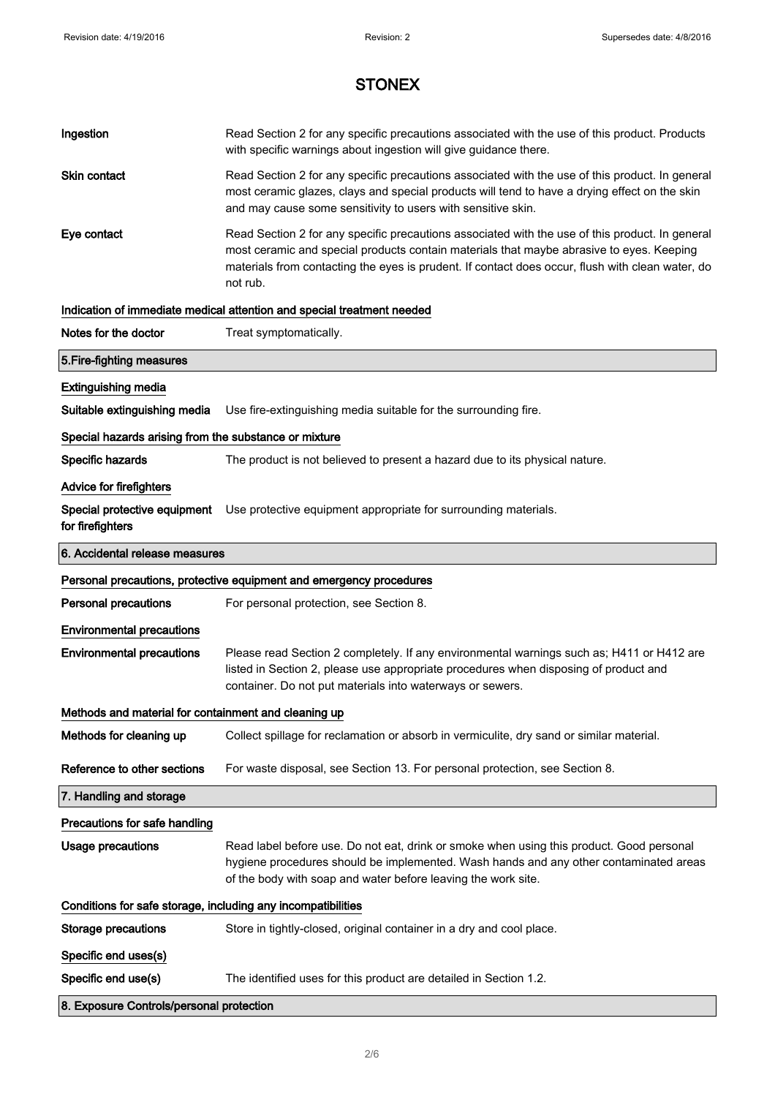| Ingestion                                                    | Read Section 2 for any specific precautions associated with the use of this product. Products<br>with specific warnings about ingestion will give guidance there.                                                                                                                                           |  |
|--------------------------------------------------------------|-------------------------------------------------------------------------------------------------------------------------------------------------------------------------------------------------------------------------------------------------------------------------------------------------------------|--|
| Skin contact                                                 | Read Section 2 for any specific precautions associated with the use of this product. In general<br>most ceramic glazes, clays and special products will tend to have a drying effect on the skin<br>and may cause some sensitivity to users with sensitive skin.                                            |  |
| Eye contact                                                  | Read Section 2 for any specific precautions associated with the use of this product. In general<br>most ceramic and special products contain materials that maybe abrasive to eyes. Keeping<br>materials from contacting the eyes is prudent. If contact does occur, flush with clean water, do<br>not rub. |  |
|                                                              | Indication of immediate medical attention and special treatment needed                                                                                                                                                                                                                                      |  |
| Notes for the doctor                                         | Treat symptomatically.                                                                                                                                                                                                                                                                                      |  |
| 5. Fire-fighting measures                                    |                                                                                                                                                                                                                                                                                                             |  |
| <b>Extinguishing media</b>                                   |                                                                                                                                                                                                                                                                                                             |  |
| Suitable extinguishing media                                 | Use fire-extinguishing media suitable for the surrounding fire.                                                                                                                                                                                                                                             |  |
| Special hazards arising from the substance or mixture        |                                                                                                                                                                                                                                                                                                             |  |
| Specific hazards                                             | The product is not believed to present a hazard due to its physical nature.                                                                                                                                                                                                                                 |  |
| <b>Advice for firefighters</b>                               |                                                                                                                                                                                                                                                                                                             |  |
| for firefighters                                             | Special protective equipment Use protective equipment appropriate for surrounding materials.                                                                                                                                                                                                                |  |
| 6. Accidental release measures                               |                                                                                                                                                                                                                                                                                                             |  |
|                                                              | Personal precautions, protective equipment and emergency procedures                                                                                                                                                                                                                                         |  |
| <b>Personal precautions</b>                                  | For personal protection, see Section 8.                                                                                                                                                                                                                                                                     |  |
| <b>Environmental precautions</b>                             |                                                                                                                                                                                                                                                                                                             |  |
| <b>Environmental precautions</b>                             | Please read Section 2 completely. If any environmental warnings such as; H411 or H412 are<br>listed in Section 2, please use appropriate procedures when disposing of product and<br>container. Do not put materials into waterways or sewers.                                                              |  |
| Methods and material for containment and cleaning up         |                                                                                                                                                                                                                                                                                                             |  |
| Methods for cleaning up                                      | Collect spillage for reclamation or absorb in vermiculite, dry sand or similar material.                                                                                                                                                                                                                    |  |
| Reference to other sections                                  | For waste disposal, see Section 13. For personal protection, see Section 8.                                                                                                                                                                                                                                 |  |
| 7. Handling and storage                                      |                                                                                                                                                                                                                                                                                                             |  |
| Precautions for safe handling                                |                                                                                                                                                                                                                                                                                                             |  |
| <b>Usage precautions</b>                                     | Read label before use. Do not eat, drink or smoke when using this product. Good personal<br>hygiene procedures should be implemented. Wash hands and any other contaminated areas<br>of the body with soap and water before leaving the work site.                                                          |  |
| Conditions for safe storage, including any incompatibilities |                                                                                                                                                                                                                                                                                                             |  |
| <b>Storage precautions</b>                                   | Store in tightly-closed, original container in a dry and cool place.                                                                                                                                                                                                                                        |  |
| Specific end uses(s)                                         |                                                                                                                                                                                                                                                                                                             |  |
| Specific end use(s)                                          | The identified uses for this product are detailed in Section 1.2.                                                                                                                                                                                                                                           |  |
|                                                              |                                                                                                                                                                                                                                                                                                             |  |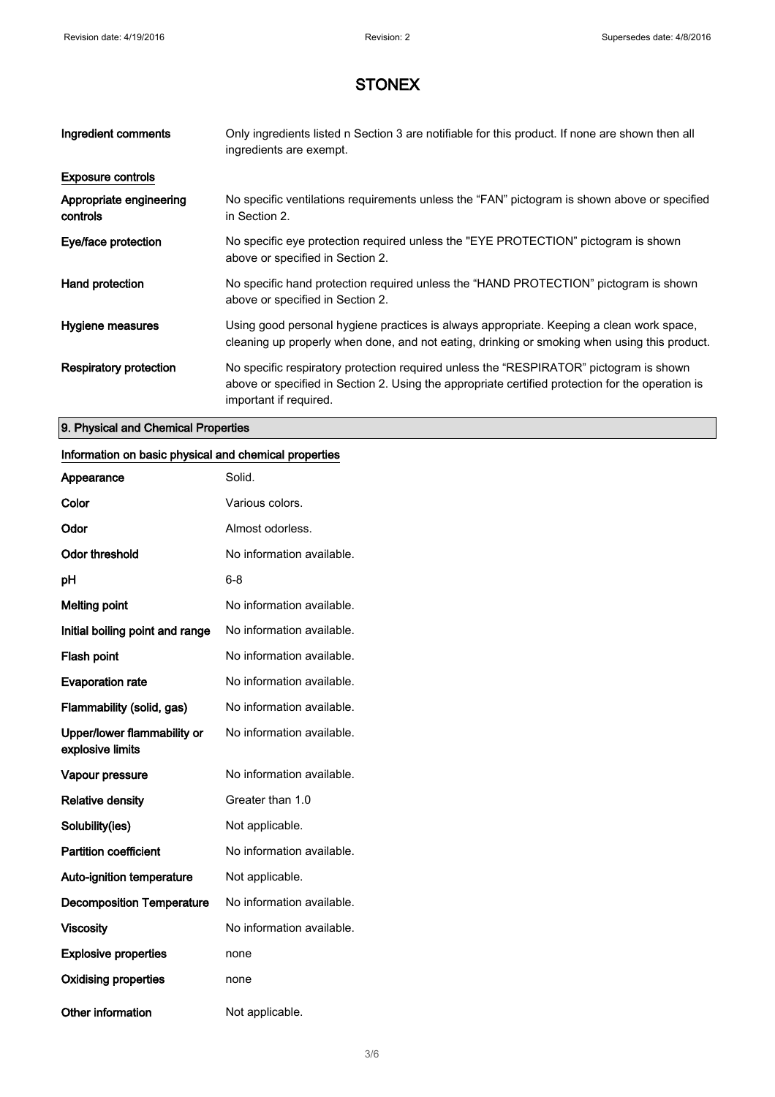| Ingredient comments                 | Only ingredients listed n Section 3 are notifiable for this product. If none are shown then all<br>ingredients are exempt.                                                                                           |
|-------------------------------------|----------------------------------------------------------------------------------------------------------------------------------------------------------------------------------------------------------------------|
| <b>Exposure controls</b>            |                                                                                                                                                                                                                      |
| Appropriate engineering<br>controls | No specific ventilations requirements unless the "FAN" pictogram is shown above or specified<br>in Section 2.                                                                                                        |
| Eye/face protection                 | No specific eye protection required unless the "EYE PROTECTION" pictogram is shown<br>above or specified in Section 2.                                                                                               |
| Hand protection                     | No specific hand protection required unless the "HAND PROTECTION" pictogram is shown<br>above or specified in Section 2.                                                                                             |
| Hygiene measures                    | Using good personal hygiene practices is always appropriate. Keeping a clean work space,<br>cleaning up properly when done, and not eating, drinking or smoking when using this product.                             |
| Respiratory protection              | No specific respiratory protection required unless the "RESPIRATOR" pictogram is shown<br>above or specified in Section 2. Using the appropriate certified protection for the operation is<br>important if required. |

#### 9. Physical and Chemical Properties

#### Information on basic physical and chemical properties

| Appearance                                      | Solid.                    |
|-------------------------------------------------|---------------------------|
| Color                                           | Various colors.           |
| Odor                                            | Almost odorless.          |
| <b>Odor threshold</b>                           | No information available. |
| рH                                              | 6-8                       |
| <b>Melting point</b>                            | No information available. |
| Initial boiling point and range                 | No information available. |
| <b>Flash point</b>                              | No information available. |
| <b>Evaporation rate</b>                         | No information available. |
| Flammability (solid, gas)                       | No information available. |
| Upper/lower flammability or<br>explosive limits | No information available. |
| Vapour pressure                                 | No information available. |
| <b>Relative density</b>                         | Greater than 1.0          |
| Solubility(ies)                                 | Not applicable.           |
| <b>Partition coefficient</b>                    | No information available. |
| <b>Auto-ignition temperature</b>                | Not applicable.           |
| <b>Decomposition Temperature</b>                | No information available. |
| <b>Viscosity</b>                                | No information available. |
| <b>Explosive properties</b>                     | none                      |
| <b>Oxidising properties</b>                     | none                      |
| <b>Other information</b>                        | Not applicable.           |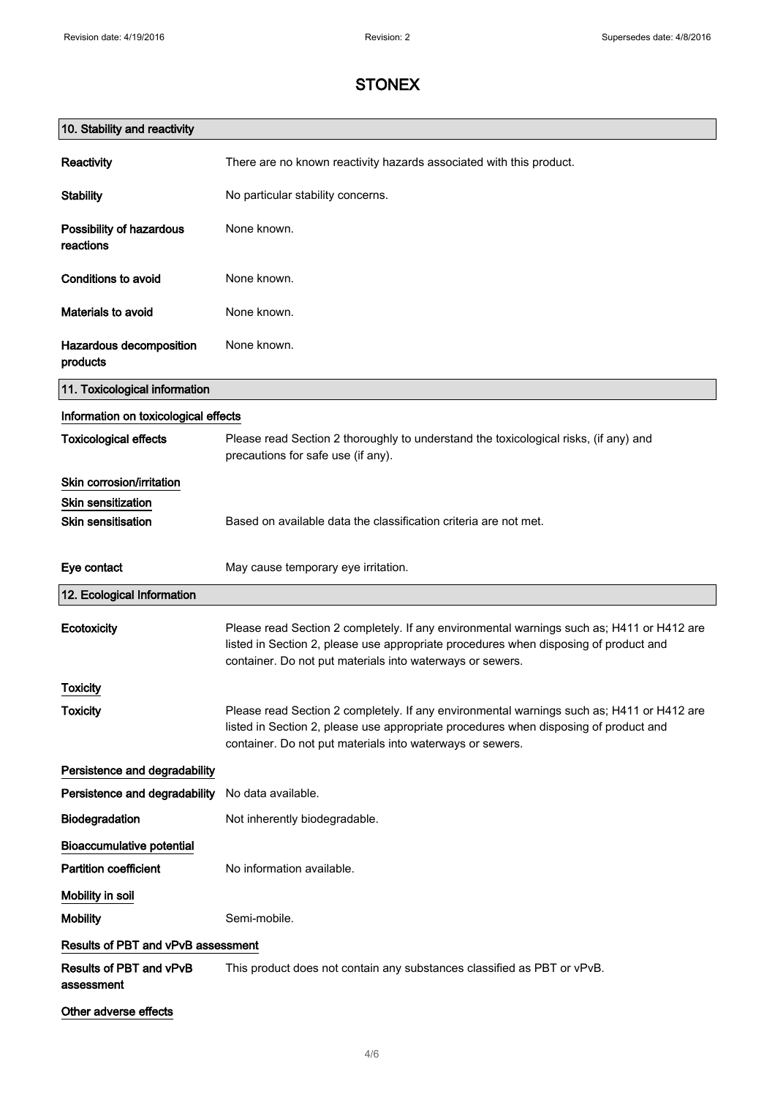| 10. Stability and reactivity          |                                                                                                                                                                                                                                                |
|---------------------------------------|------------------------------------------------------------------------------------------------------------------------------------------------------------------------------------------------------------------------------------------------|
| Reactivity                            | There are no known reactivity hazards associated with this product.                                                                                                                                                                            |
| <b>Stability</b>                      | No particular stability concerns.                                                                                                                                                                                                              |
| Possibility of hazardous<br>reactions | None known.                                                                                                                                                                                                                                    |
| <b>Conditions to avoid</b>            | None known.                                                                                                                                                                                                                                    |
| Materials to avoid                    | None known.                                                                                                                                                                                                                                    |
| Hazardous decomposition<br>products   | None known.                                                                                                                                                                                                                                    |
| 11. Toxicological information         |                                                                                                                                                                                                                                                |
| Information on toxicological effects  |                                                                                                                                                                                                                                                |
| <b>Toxicological effects</b>          | Please read Section 2 thoroughly to understand the toxicological risks, (if any) and<br>precautions for safe use (if any).                                                                                                                     |
| Skin corrosion/irritation             |                                                                                                                                                                                                                                                |
| <b>Skin sensitization</b>             |                                                                                                                                                                                                                                                |
| <b>Skin sensitisation</b>             | Based on available data the classification criteria are not met.                                                                                                                                                                               |
| Eye contact                           | May cause temporary eye irritation.                                                                                                                                                                                                            |
| 12. Ecological Information            |                                                                                                                                                                                                                                                |
| Ecotoxicity                           | Please read Section 2 completely. If any environmental warnings such as; H411 or H412 are<br>listed in Section 2, please use appropriate procedures when disposing of product and<br>container. Do not put materials into waterways or sewers. |
| <b>Toxicity</b>                       |                                                                                                                                                                                                                                                |
| <b>Toxicity</b>                       | Please read Section 2 completely. If any environmental warnings such as; H411 or H412 are<br>listed in Section 2, please use appropriate procedures when disposing of product and<br>container. Do not put materials into waterways or sewers. |
| Persistence and degradability         |                                                                                                                                                                                                                                                |
| Persistence and degradability         | No data available.                                                                                                                                                                                                                             |
| Biodegradation                        | Not inherently biodegradable.                                                                                                                                                                                                                  |
| <b>Bioaccumulative potential</b>      |                                                                                                                                                                                                                                                |
| <b>Partition coefficient</b>          | No information available.                                                                                                                                                                                                                      |
| Mobility in soil                      |                                                                                                                                                                                                                                                |
| <b>Mobility</b>                       | Semi-mobile.                                                                                                                                                                                                                                   |
| Results of PBT and vPvB assessment    |                                                                                                                                                                                                                                                |
| Results of PBT and vPvB<br>assessment | This product does not contain any substances classified as PBT or vPvB.                                                                                                                                                                        |
| Other adverse effects                 |                                                                                                                                                                                                                                                |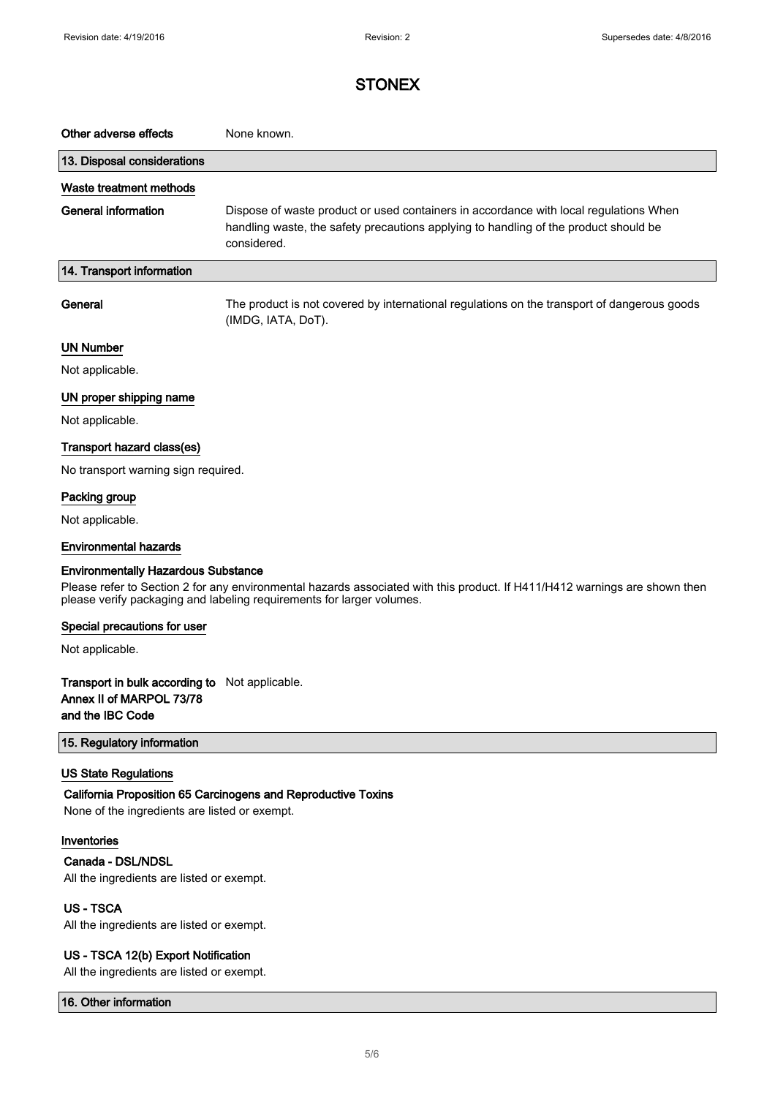| Other adverse effects                                                                                                                                                                               | None known.                                                                                                                                                                                  |  |
|-----------------------------------------------------------------------------------------------------------------------------------------------------------------------------------------------------|----------------------------------------------------------------------------------------------------------------------------------------------------------------------------------------------|--|
| 13. Disposal considerations                                                                                                                                                                         |                                                                                                                                                                                              |  |
| Waste treatment methods                                                                                                                                                                             |                                                                                                                                                                                              |  |
| <b>General information</b>                                                                                                                                                                          | Dispose of waste product or used containers in accordance with local regulations When<br>handling waste, the safety precautions applying to handling of the product should be<br>considered. |  |
| 14. Transport information                                                                                                                                                                           |                                                                                                                                                                                              |  |
| General                                                                                                                                                                                             | The product is not covered by international regulations on the transport of dangerous goods<br>(IMDG, IATA, DoT).                                                                            |  |
| <b>UN Number</b>                                                                                                                                                                                    |                                                                                                                                                                                              |  |
| Not applicable.                                                                                                                                                                                     |                                                                                                                                                                                              |  |
| UN proper shipping name                                                                                                                                                                             |                                                                                                                                                                                              |  |
| Not applicable.                                                                                                                                                                                     |                                                                                                                                                                                              |  |
| Transport hazard class(es)                                                                                                                                                                          |                                                                                                                                                                                              |  |
| No transport warning sign required.                                                                                                                                                                 |                                                                                                                                                                                              |  |
| Packing group                                                                                                                                                                                       |                                                                                                                                                                                              |  |
| Not applicable.                                                                                                                                                                                     |                                                                                                                                                                                              |  |
| <b>Environmental hazards</b>                                                                                                                                                                        |                                                                                                                                                                                              |  |
| <b>Environmentally Hazardous Substance</b>                                                                                                                                                          |                                                                                                                                                                                              |  |
| Please refer to Section 2 for any environmental hazards associated with this product. If H411/H412 warnings are shown then<br>please verify packaging and labeling requirements for larger volumes. |                                                                                                                                                                                              |  |
| Special precautions for user                                                                                                                                                                        |                                                                                                                                                                                              |  |
| Not applicable.                                                                                                                                                                                     |                                                                                                                                                                                              |  |
| Transport in bulk according to Not applicable.<br>Annex II of MARPOL 73/78<br>and the IBC Code                                                                                                      |                                                                                                                                                                                              |  |
| 15. Regulatory information                                                                                                                                                                          |                                                                                                                                                                                              |  |
| <b>US State Regulations</b><br>None of the ingredients are listed or exempt.                                                                                                                        | California Proposition 65 Carcinogens and Reproductive Toxins                                                                                                                                |  |
| Inventories<br>Canada - DSL/NDSL<br>All the ingredients are listed or exempt.                                                                                                                       |                                                                                                                                                                                              |  |
| <b>US-TSCA</b><br>All the ingredients are listed or exempt.                                                                                                                                         |                                                                                                                                                                                              |  |
| US - TSCA 12(b) Export Notification                                                                                                                                                                 |                                                                                                                                                                                              |  |

All the ingredients are listed or exempt.

16. Other information